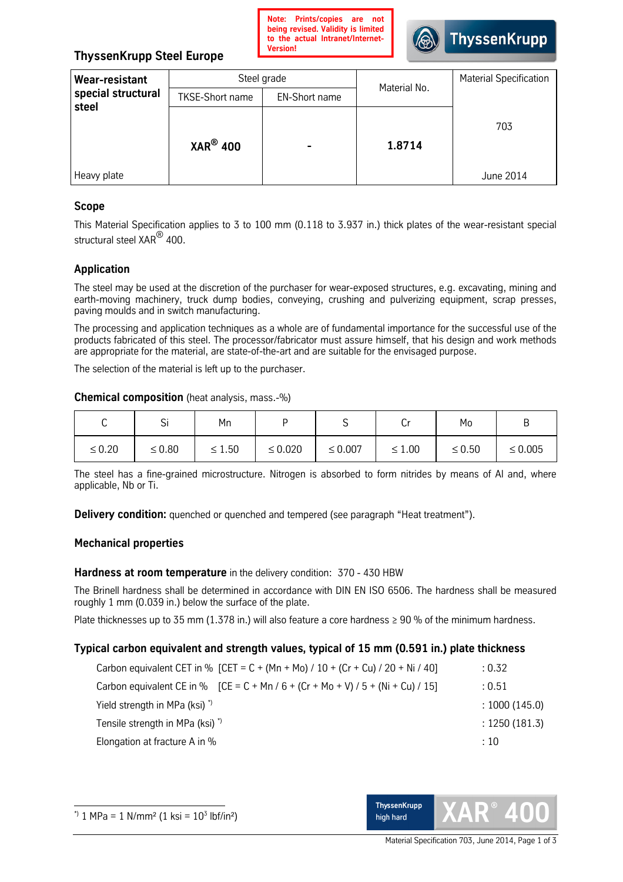

# **ThyssenKrupp Steel Europe**

| <b>Wear-resistant</b>       | Steel grade                                    |  | Material No. | <b>Material Specification</b> |
|-----------------------------|------------------------------------------------|--|--------------|-------------------------------|
| special structural<br>steel | <b>TKSE-Short name</b><br><b>EN-Short name</b> |  |              |                               |
|                             | $XAR^{\circledR}$ 400                          |  | 1.8714       | 703                           |
| Heavy plate                 |                                                |  |              | June 2014                     |

## **Scope**

This Material Specification applies to 3 to 100 mm (0.118 to 3.937 in.) thick plates of the wear-resistant special structural steel XAR<sup>®</sup> 400.

# **Application**

The steel may be used at the discretion of the purchaser for wear-exposed structures, e.g. excavating, mining and earth-moving machinery, truck dump bodies, conveying, crushing and pulverizing equipment, scrap presses, paving moulds and in switch manufacturing.

The processing and application techniques as a whole are of fundamental importance for the successful use of the products fabricated of this steel. The processor/fabricator must assure himself, that his design and work methods are appropriate for the material, are state-of-the-art and are suitable for the envisaged purpose.

The selection of the material is left up to the purchaser.

#### **Chemical composition** (heatanalysis,mass.-%)

| $\overline{\phantom{0}}$<br>ີ | <b>.</b><br>اب | Mn          |              |              | ◡           | Mo          | ്            |
|-------------------------------|----------------|-------------|--------------|--------------|-------------|-------------|--------------|
| $\leq 0.20$                   | $\leq 0.80$    | $\leq 1.50$ | $\leq 0.020$ | $\leq 0.007$ | $\leq 1.00$ | $\leq 0.50$ | $\leq 0.005$ |

The steel has a fine-grained microstructure. Nitrogen is absorbed to form nitrides by means of Al and, where applicable, Nb or Ti.

**Delivery condition:** quenched or quenched and tempered (see paragraph "Heat treatment").

#### **Mechanical properties**

#### **Hardness at room temperature** in the delivery condition: 370 - 430 HBW

The Brinell hardness shall be determined in accordance with DIN EN ISO 6506. The hardness shall be measured roughly 1 mm (0.039 in.) below the surface of the plate.

Plate thicknesses up to 35 mm (1.378 in.) will also feature a core hardness ≥ 90 % of the minimum hardness.

#### **Typical carbon equivalent and strength values, typical of 15 mm (0.591 in.) plate thickness**

| Carbon equivalent CET in % [CET = C + (Mn + Mo) / 10 + (Cr + Cu) / 20 + Ni / 40]   | : 0.32         |
|------------------------------------------------------------------------------------|----------------|
| Carbon equivalent CE in % $[CE = C + Mn / 6 + (Cr + Mo + V) / 5 + (Ni + Cu) / 15]$ | : 0.51         |
| Yield strength in MPa (ksi) <sup>*</sup>                                           | : 1000(145.0)  |
| Tensile strength in MPa (ksi) <sup>*</sup> )                                       | : 1250 (181.3) |
| Elongation at fracture A in %                                                      | :10            |

 $\overline{a}$ 



Material Specification 703, June 2014, Page 1 of 3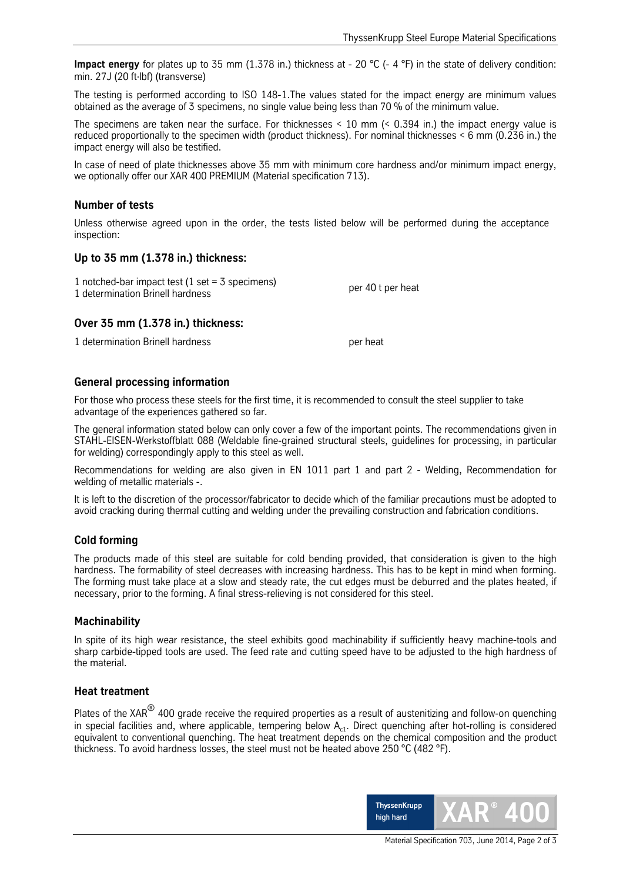**Impact energy** for plates up to 35 mm (1.378 in.) thickness at - 20 °C (- 4 °F) in the state of delivery condition: min.27J(20ft∙lbf)(transverse)

The testing is performed according to ISO 148-1. The values stated for the impact energy are minimum values obtained as the average of 3 specimens, no single value being less than 70 % of the minimum value.

The specimens are taken near the surface. For thicknesses < 10 mm(< 0.394 in.) the impact energy value is reduced proportionally to the specimen width (product thickness). For nominal thicknesses < 6 mm (0.236 in.) the impact energy will also be testified.

In case of need of plate thicknesses above 35 mm with minimum core hardness and/or minimum impact energy, we optionally offer our XAR 400 PREMIUM (Material specification 713).

#### **Number of tests**

Unless otherwise agreed upon in the order, the tests listed below will be performed during the acceptance inspection:

#### **Up to 35 mm (1.378 in.) thickness:**

| 1 notched-bar impact test (1 set = $3$ specimens) |                   |
|---------------------------------------------------|-------------------|
| 1 determination Brinell hardness                  | per 40 t per heat |

#### **Over 35 mm (1.378 in.) thickness:**

1 determination Brinell hardness per heat

#### **General processing information**

For those who process these steels for the first time, it is recommended to consult the steel supplier to take advantage of the experiences gathered so far.

The general information stated below can only cover a few of the important points. The recommendations given in STAHL-EISEN-Werkstoffblatt 088 (Weldable fine-grained structural steels, guidelines for processing, in particular for welding) correspondingly apply to this steel as well.

Recommendations for welding are also given in EN 1011 part 1 and part 2 - Welding, Recommendation for welding of metallic materials -.

It is left to the discretion of the processor/fabricator to decide which of the familiar precautions must be adopted to avoid cracking during thermal cutting and welding under the prevailing construction and fabrication conditions.

#### **Cold forming**

The products made of this steel are suitable for cold bending provided, that consideration is given to the high hardness. The formability of steel decreases with increasing hardness. This has to be kept in mind when forming. The forming must take place at a slow and steady rate, the cut edges must be deburred and the plates heated, if necessary, prior to the forming. A final stress-relieving is not considered for this steel.

#### **Machinability**

In spite of its high wear resistance, the steel exhibits good machinability if sufficiently heavy machine-tools and sharp carbide-tipped tools are used. The feed rate and cutting speed have to be adjusted to the high hardness of the material.

#### **Heat treatment**

Plates of the XAR $^\circledR$  400 grade receive the required properties as a result of austenitizing and follow-on quenching in special facilities and, where applicable, tempering below  $A_{c1}$ . Direct quenching after hot-rolling is considered equivalent to conventional quenching. The heat treatment depends on the chemical composition and the product thickness. To avoid hardness losses, the steel must not be heated above 250 °C (482 °F).